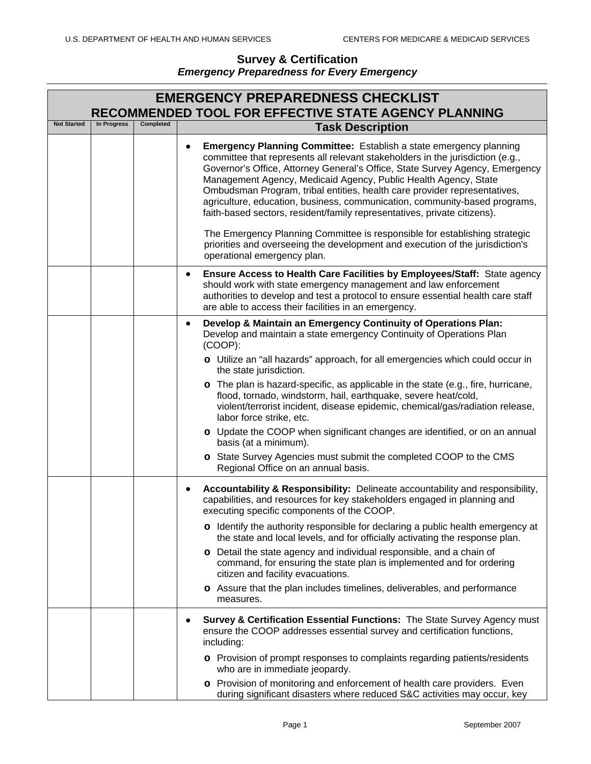|                    | <b>EMERGENCY PREPAREDNESS CHECKLIST</b><br><b>RECOMMENDED TOOL FOR EFFECTIVE STATE AGENCY PLANNING</b> |           |                                                                                                                                                                                                                                                                                                                                                                                                                                                                                                                                                                                                                                                                                                                                                                   |  |  |
|--------------------|--------------------------------------------------------------------------------------------------------|-----------|-------------------------------------------------------------------------------------------------------------------------------------------------------------------------------------------------------------------------------------------------------------------------------------------------------------------------------------------------------------------------------------------------------------------------------------------------------------------------------------------------------------------------------------------------------------------------------------------------------------------------------------------------------------------------------------------------------------------------------------------------------------------|--|--|
| <b>Not Started</b> | In Progress                                                                                            | Completed | <b>Task Description</b>                                                                                                                                                                                                                                                                                                                                                                                                                                                                                                                                                                                                                                                                                                                                           |  |  |
|                    |                                                                                                        |           | <b>Emergency Planning Committee:</b> Establish a state emergency planning<br>committee that represents all relevant stakeholders in the jurisdiction (e.g.,<br>Governor's Office, Attorney General's Office, State Survey Agency, Emergency<br>Management Agency, Medicaid Agency, Public Health Agency, State<br>Ombudsman Program, tribal entities, health care provider representatives,<br>agriculture, education, business, communication, community-based programs,<br>faith-based sectors, resident/family representatives, private citizens).<br>The Emergency Planning Committee is responsible for establishing strategic<br>priorities and overseeing the development and execution of the jurisdiction's<br>operational emergency plan.               |  |  |
|                    |                                                                                                        |           | Ensure Access to Health Care Facilities by Employees/Staff: State agency<br>٠<br>should work with state emergency management and law enforcement<br>authorities to develop and test a protocol to ensure essential health care staff<br>are able to access their facilities in an emergency.                                                                                                                                                                                                                                                                                                                                                                                                                                                                      |  |  |
|                    |                                                                                                        |           | Develop & Maintain an Emergency Continuity of Operations Plan:<br>$\bullet$<br>Develop and maintain a state emergency Continuity of Operations Plan<br>(COOP):<br>o Utilize an "all hazards" approach, for all emergencies which could occur in<br>the state jurisdiction.<br>o The plan is hazard-specific, as applicable in the state (e.g., fire, hurricane,<br>flood, tornado, windstorm, hail, earthquake, severe heat/cold,<br>violent/terrorist incident, disease epidemic, chemical/gas/radiation release,<br>labor force strike, etc.<br>o Update the COOP when significant changes are identified, or on an annual<br>basis (at a minimum).<br>o State Survey Agencies must submit the completed COOP to the CMS<br>Regional Office on an annual basis. |  |  |
|                    |                                                                                                        |           | Accountability & Responsibility: Delineate accountability and responsibility,<br>capabilities, and resources for key stakeholders engaged in planning and<br>executing specific components of the COOP.<br>o Identify the authority responsible for declaring a public health emergency at<br>the state and local levels, and for officially activating the response plan.<br>o Detail the state agency and individual responsible, and a chain of<br>command, for ensuring the state plan is implemented and for ordering<br>citizen and facility evacuations.<br>o Assure that the plan includes timelines, deliverables, and performance<br>measures.                                                                                                          |  |  |
|                    |                                                                                                        |           | Survey & Certification Essential Functions: The State Survey Agency must<br>$\bullet$<br>ensure the COOP addresses essential survey and certification functions,<br>including:<br>o Provision of prompt responses to complaints regarding patients/residents<br>who are in immediate jeopardy.<br>o Provision of monitoring and enforcement of health care providers. Even<br>during significant disasters where reduced S&C activities may occur, key                                                                                                                                                                                                                                                                                                            |  |  |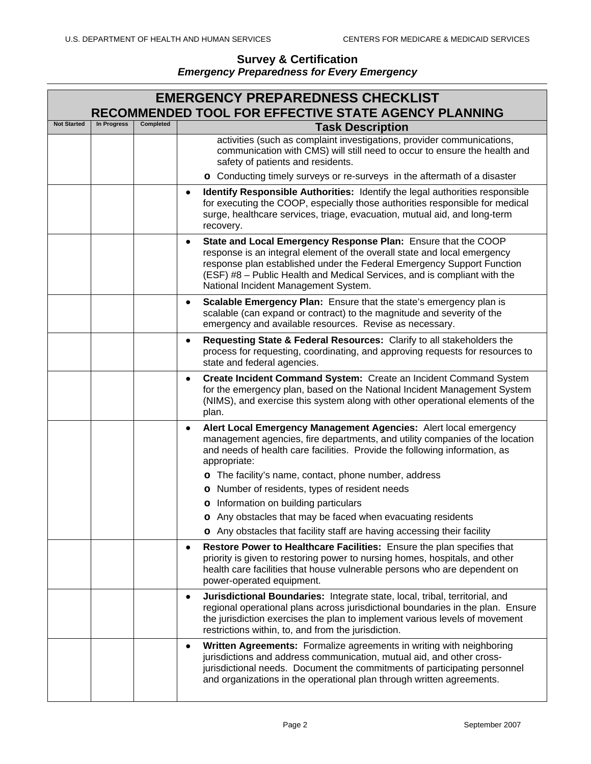| <b>EMERGENCY PREPAREDNESS CHECKLIST</b><br><b>RECOMMENDED TOOL FOR EFFECTIVE STATE AGENCY PLANNING</b> |             |           |                                                                                                                                                                                                                                                                                                                                                      |
|--------------------------------------------------------------------------------------------------------|-------------|-----------|------------------------------------------------------------------------------------------------------------------------------------------------------------------------------------------------------------------------------------------------------------------------------------------------------------------------------------------------------|
| <b>Not Started</b>                                                                                     | In Progress | Completed | <b>Task Description</b>                                                                                                                                                                                                                                                                                                                              |
|                                                                                                        |             |           | activities (such as complaint investigations, provider communications,<br>communication with CMS) will still need to occur to ensure the health and<br>safety of patients and residents.                                                                                                                                                             |
|                                                                                                        |             |           | o Conducting timely surveys or re-surveys in the aftermath of a disaster                                                                                                                                                                                                                                                                             |
|                                                                                                        |             |           | Identify Responsible Authorities: Identify the legal authorities responsible<br>٠<br>for executing the COOP, especially those authorities responsible for medical<br>surge, healthcare services, triage, evacuation, mutual aid, and long-term<br>recovery.                                                                                          |
|                                                                                                        |             |           | State and Local Emergency Response Plan: Ensure that the COOP<br>$\bullet$<br>response is an integral element of the overall state and local emergency<br>response plan established under the Federal Emergency Support Function<br>(ESF) #8 - Public Health and Medical Services, and is compliant with the<br>National Incident Management System. |
|                                                                                                        |             |           | Scalable Emergency Plan: Ensure that the state's emergency plan is<br>٠<br>scalable (can expand or contract) to the magnitude and severity of the<br>emergency and available resources. Revise as necessary.                                                                                                                                         |
|                                                                                                        |             |           | Requesting State & Federal Resources: Clarify to all stakeholders the<br>$\bullet$<br>process for requesting, coordinating, and approving requests for resources to<br>state and federal agencies.                                                                                                                                                   |
|                                                                                                        |             |           | Create Incident Command System: Create an Incident Command System<br>$\bullet$<br>for the emergency plan, based on the National Incident Management System<br>(NIMS), and exercise this system along with other operational elements of the<br>plan.                                                                                                 |
|                                                                                                        |             |           | Alert Local Emergency Management Agencies: Alert local emergency<br>٠<br>management agencies, fire departments, and utility companies of the location<br>and needs of health care facilities. Provide the following information, as<br>appropriate:                                                                                                  |
|                                                                                                        |             |           | o The facility's name, contact, phone number, address                                                                                                                                                                                                                                                                                                |
|                                                                                                        |             |           | o Number of residents, types of resident needs                                                                                                                                                                                                                                                                                                       |
|                                                                                                        |             |           | o Information on building particulars                                                                                                                                                                                                                                                                                                                |
|                                                                                                        |             |           | o Any obstacles that may be faced when evacuating residents                                                                                                                                                                                                                                                                                          |
|                                                                                                        |             |           | o Any obstacles that facility staff are having accessing their facility                                                                                                                                                                                                                                                                              |
|                                                                                                        |             |           | Restore Power to Healthcare Facilities: Ensure the plan specifies that<br>$\bullet$<br>priority is given to restoring power to nursing homes, hospitals, and other<br>health care facilities that house vulnerable persons who are dependent on<br>power-operated equipment.                                                                         |
|                                                                                                        |             |           | Jurisdictional Boundaries: Integrate state, local, tribal, territorial, and<br>$\bullet$<br>regional operational plans across jurisdictional boundaries in the plan. Ensure<br>the jurisdiction exercises the plan to implement various levels of movement<br>restrictions within, to, and from the jurisdiction.                                    |
|                                                                                                        |             |           | Written Agreements: Formalize agreements in writing with neighboring<br>$\bullet$<br>jurisdictions and address communication, mutual aid, and other cross-<br>jurisdictional needs. Document the commitments of participating personnel<br>and organizations in the operational plan through written agreements.                                     |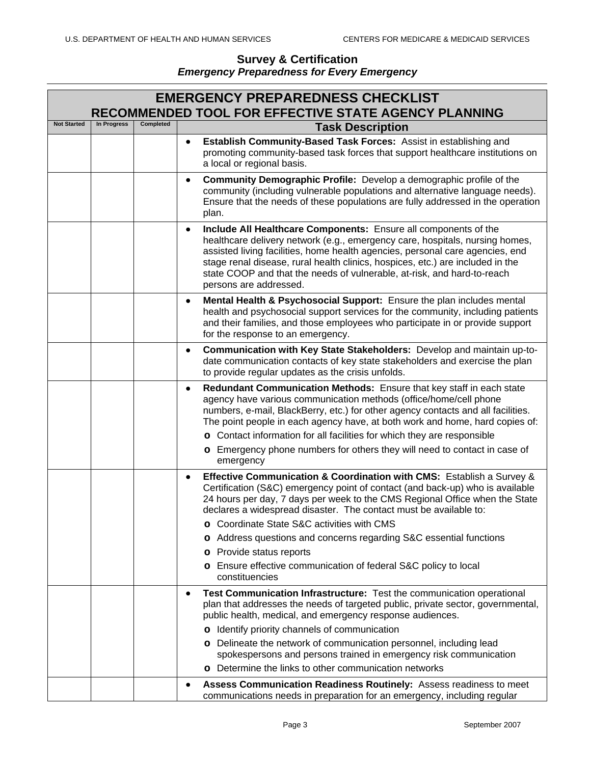|                    | <b>EMERGENCY PREPAREDNESS CHECKLIST</b><br>RECOMMENDED TOOL FOR EFFECTIVE STATE AGENCY PLANNING |           |                                                                                                                                                                                                                                                                                                                                                                                                                                      |  |  |
|--------------------|-------------------------------------------------------------------------------------------------|-----------|--------------------------------------------------------------------------------------------------------------------------------------------------------------------------------------------------------------------------------------------------------------------------------------------------------------------------------------------------------------------------------------------------------------------------------------|--|--|
| <b>Not Started</b> | In Progress                                                                                     | Completed | <b>Task Description</b>                                                                                                                                                                                                                                                                                                                                                                                                              |  |  |
|                    |                                                                                                 |           | Establish Community-Based Task Forces: Assist in establishing and<br>$\bullet$<br>promoting community-based task forces that support healthcare institutions on<br>a local or regional basis.                                                                                                                                                                                                                                        |  |  |
|                    |                                                                                                 |           | <b>Community Demographic Profile:</b> Develop a demographic profile of the<br>$\bullet$<br>community (including vulnerable populations and alternative language needs).<br>Ensure that the needs of these populations are fully addressed in the operation<br>plan.                                                                                                                                                                  |  |  |
|                    |                                                                                                 |           | Include All Healthcare Components: Ensure all components of the<br>$\bullet$<br>healthcare delivery network (e.g., emergency care, hospitals, nursing homes,<br>assisted living facilities, home health agencies, personal care agencies, end<br>stage renal disease, rural health clinics, hospices, etc.) are included in the<br>state COOP and that the needs of vulnerable, at-risk, and hard-to-reach<br>persons are addressed. |  |  |
|                    |                                                                                                 |           | Mental Health & Psychosocial Support: Ensure the plan includes mental<br>$\bullet$<br>health and psychosocial support services for the community, including patients<br>and their families, and those employees who participate in or provide support<br>for the response to an emergency.                                                                                                                                           |  |  |
|                    |                                                                                                 |           | Communication with Key State Stakeholders: Develop and maintain up-to-<br>$\bullet$<br>date communication contacts of key state stakeholders and exercise the plan<br>to provide regular updates as the crisis unfolds.                                                                                                                                                                                                              |  |  |
|                    |                                                                                                 |           | Redundant Communication Methods: Ensure that key staff in each state<br>$\bullet$<br>agency have various communication methods (office/home/cell phone<br>numbers, e-mail, BlackBerry, etc.) for other agency contacts and all facilities.<br>The point people in each agency have, at both work and home, hard copies of:<br>o Contact information for all facilities for which they are responsible                                |  |  |
|                    |                                                                                                 |           | o Emergency phone numbers for others they will need to contact in case of<br>emergency                                                                                                                                                                                                                                                                                                                                               |  |  |
|                    |                                                                                                 |           | Effective Communication & Coordination with CMS: Establish a Survey &<br>$\bullet$<br>Certification (S&C) emergency point of contact (and back-up) who is available<br>24 hours per day, 7 days per week to the CMS Regional Office when the State<br>declares a widespread disaster. The contact must be available to:                                                                                                              |  |  |
|                    |                                                                                                 |           | o Coordinate State S&C activities with CMS                                                                                                                                                                                                                                                                                                                                                                                           |  |  |
|                    |                                                                                                 |           | o Address questions and concerns regarding S&C essential functions<br>Provide status reports                                                                                                                                                                                                                                                                                                                                         |  |  |
|                    |                                                                                                 |           | o<br>o Ensure effective communication of federal S&C policy to local                                                                                                                                                                                                                                                                                                                                                                 |  |  |
|                    |                                                                                                 |           | constituencies                                                                                                                                                                                                                                                                                                                                                                                                                       |  |  |
|                    |                                                                                                 |           | Test Communication Infrastructure: Test the communication operational<br>$\bullet$<br>plan that addresses the needs of targeted public, private sector, governmental,<br>public health, medical, and emergency response audiences.                                                                                                                                                                                                   |  |  |
|                    |                                                                                                 |           | o Identify priority channels of communication                                                                                                                                                                                                                                                                                                                                                                                        |  |  |
|                    |                                                                                                 |           | o Delineate the network of communication personnel, including lead<br>spokespersons and persons trained in emergency risk communication                                                                                                                                                                                                                                                                                              |  |  |
|                    |                                                                                                 |           | o Determine the links to other communication networks                                                                                                                                                                                                                                                                                                                                                                                |  |  |
|                    |                                                                                                 |           | Assess Communication Readiness Routinely: Assess readiness to meet<br>٠<br>communications needs in preparation for an emergency, including regular                                                                                                                                                                                                                                                                                   |  |  |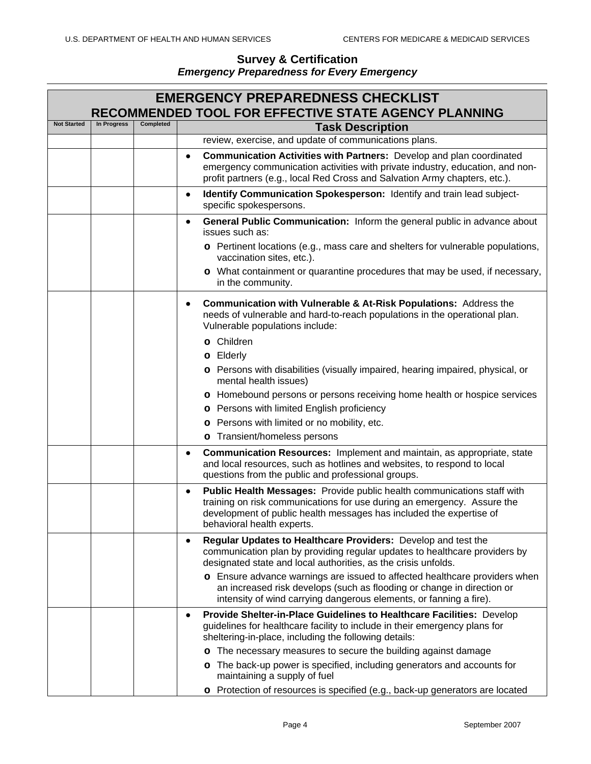|                    |             |           | <b>EMERGENCY PREPAREDNESS CHECKLIST</b><br>RECOMMENDED TOOL FOR EFFECTIVE STATE AGENCY PLANNING                                                                                                                                                                                                                      |
|--------------------|-------------|-----------|----------------------------------------------------------------------------------------------------------------------------------------------------------------------------------------------------------------------------------------------------------------------------------------------------------------------|
| <b>Not Started</b> | In Progress | Completed | <b>Task Description</b>                                                                                                                                                                                                                                                                                              |
|                    |             |           | review, exercise, and update of communications plans.                                                                                                                                                                                                                                                                |
|                    |             |           | Communication Activities with Partners: Develop and plan coordinated<br>$\bullet$<br>emergency communication activities with private industry, education, and non-<br>profit partners (e.g., local Red Cross and Salvation Army chapters, etc.).                                                                     |
|                    |             |           | Identify Communication Spokesperson: Identify and train lead subject-<br>$\bullet$<br>specific spokespersons.                                                                                                                                                                                                        |
|                    |             |           | General Public Communication: Inform the general public in advance about<br>٠<br>issues such as:<br>o Pertinent locations (e.g., mass care and shelters for vulnerable populations,<br>vaccination sites, etc.).<br>o What containment or quarantine procedures that may be used, if necessary,<br>in the community. |
|                    |             |           | <b>Communication with Vulnerable &amp; At-Risk Populations:</b> Address the<br>needs of vulnerable and hard-to-reach populations in the operational plan.<br>Vulnerable populations include:                                                                                                                         |
|                    |             |           | o Children<br>o Elderly<br>o Persons with disabilities (visually impaired, hearing impaired, physical, or<br>mental health issues)                                                                                                                                                                                   |
|                    |             |           | o Homebound persons or persons receiving home health or hospice services<br>o Persons with limited English proficiency<br>o Persons with limited or no mobility, etc.<br>o Transient/homeless persons                                                                                                                |
|                    |             |           | <b>Communication Resources:</b> Implement and maintain, as appropriate, state<br>٠<br>and local resources, such as hotlines and websites, to respond to local<br>questions from the public and professional groups.                                                                                                  |
|                    |             |           | Public Health Messages: Provide public health communications staff with<br>$\bullet$<br>training on risk communications for use during an emergency. Assure the<br>development of public health messages has included the expertise of<br>behavioral health experts.                                                 |
|                    |             |           | Regular Updates to Healthcare Providers: Develop and test the<br>٠<br>communication plan by providing regular updates to healthcare providers by<br>designated state and local authorities, as the crisis unfolds.<br>o Ensure advance warnings are issued to affected healthcare providers when                     |
|                    |             |           | an increased risk develops (such as flooding or change in direction or<br>intensity of wind carrying dangerous elements, or fanning a fire).                                                                                                                                                                         |
|                    |             |           | Provide Shelter-in-Place Guidelines to Healthcare Facilities: Develop<br>٠<br>guidelines for healthcare facility to include in their emergency plans for<br>sheltering-in-place, including the following details:                                                                                                    |
|                    |             |           | o The necessary measures to secure the building against damage                                                                                                                                                                                                                                                       |
|                    |             |           | o The back-up power is specified, including generators and accounts for<br>maintaining a supply of fuel                                                                                                                                                                                                              |
|                    |             |           | o Protection of resources is specified (e.g., back-up generators are located                                                                                                                                                                                                                                         |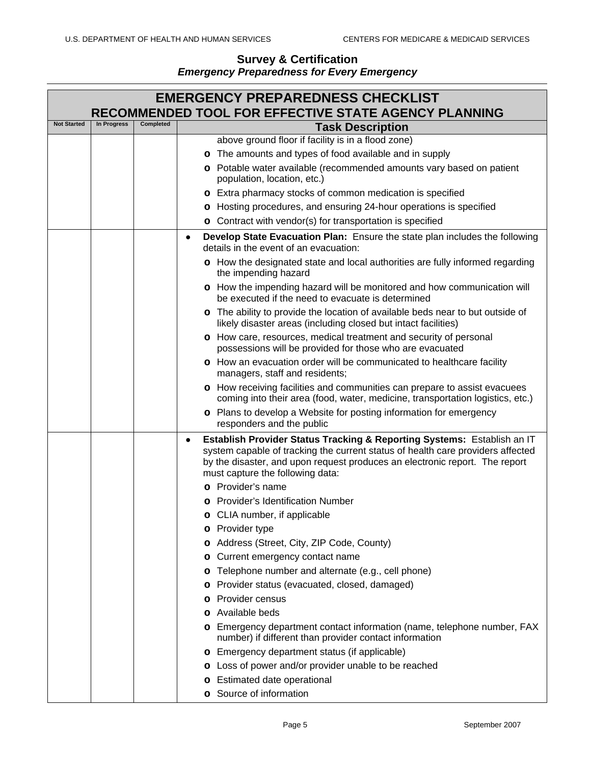|                    | <b>EMERGENCY PREPAREDNESS CHECKLIST</b><br>RECOMMENDED TOOL FOR EFFECTIVE STATE AGENCY PLANNING |           |                                                                                                                                                                                                    |  |  |
|--------------------|-------------------------------------------------------------------------------------------------|-----------|----------------------------------------------------------------------------------------------------------------------------------------------------------------------------------------------------|--|--|
| <b>Not Started</b> | In Progress                                                                                     | Completed | <b>Task Description</b>                                                                                                                                                                            |  |  |
|                    |                                                                                                 |           | above ground floor if facility is in a flood zone)                                                                                                                                                 |  |  |
|                    |                                                                                                 |           | o The amounts and types of food available and in supply                                                                                                                                            |  |  |
|                    |                                                                                                 |           | o Potable water available (recommended amounts vary based on patient<br>population, location, etc.)                                                                                                |  |  |
|                    |                                                                                                 |           | o Extra pharmacy stocks of common medication is specified                                                                                                                                          |  |  |
|                    |                                                                                                 |           | o Hosting procedures, and ensuring 24-hour operations is specified                                                                                                                                 |  |  |
|                    |                                                                                                 |           | o Contract with vendor(s) for transportation is specified                                                                                                                                          |  |  |
|                    |                                                                                                 |           | Develop State Evacuation Plan: Ensure the state plan includes the following<br>$\bullet$                                                                                                           |  |  |
|                    |                                                                                                 |           | details in the event of an evacuation:                                                                                                                                                             |  |  |
|                    |                                                                                                 |           | o How the designated state and local authorities are fully informed regarding<br>the impending hazard                                                                                              |  |  |
|                    |                                                                                                 |           | o How the impending hazard will be monitored and how communication will<br>be executed if the need to evacuate is determined                                                                       |  |  |
|                    |                                                                                                 |           | o The ability to provide the location of available beds near to but outside of<br>likely disaster areas (including closed but intact facilities)                                                   |  |  |
|                    |                                                                                                 |           | o How care, resources, medical treatment and security of personal<br>possessions will be provided for those who are evacuated                                                                      |  |  |
|                    |                                                                                                 |           | o How an evacuation order will be communicated to healthcare facility<br>managers, staff and residents;                                                                                            |  |  |
|                    |                                                                                                 |           | o How receiving facilities and communities can prepare to assist evacuees<br>coming into their area (food, water, medicine, transportation logistics, etc.)                                        |  |  |
|                    |                                                                                                 |           | o Plans to develop a Website for posting information for emergency<br>responders and the public                                                                                                    |  |  |
|                    |                                                                                                 |           | Establish Provider Status Tracking & Reporting Systems: Establish an IT<br>٠                                                                                                                       |  |  |
|                    |                                                                                                 |           | system capable of tracking the current status of health care providers affected<br>by the disaster, and upon request produces an electronic report. The report<br>must capture the following data: |  |  |
|                    |                                                                                                 |           | o Provider's name                                                                                                                                                                                  |  |  |
|                    |                                                                                                 |           | o Provider's Identification Number                                                                                                                                                                 |  |  |
|                    |                                                                                                 |           | o CLIA number, if applicable                                                                                                                                                                       |  |  |
|                    |                                                                                                 |           | Provider type<br>o                                                                                                                                                                                 |  |  |
|                    |                                                                                                 |           | Address (Street, City, ZIP Code, County)<br>o                                                                                                                                                      |  |  |
|                    |                                                                                                 |           | Current emergency contact name<br>o                                                                                                                                                                |  |  |
|                    |                                                                                                 |           | Telephone number and alternate (e.g., cell phone)<br>o                                                                                                                                             |  |  |
|                    |                                                                                                 |           | Provider status (evacuated, closed, damaged)<br>o                                                                                                                                                  |  |  |
|                    |                                                                                                 |           | Provider census                                                                                                                                                                                    |  |  |
|                    |                                                                                                 |           | Available beds<br>O                                                                                                                                                                                |  |  |
|                    |                                                                                                 |           | o Emergency department contact information (name, telephone number, FAX<br>number) if different than provider contact information                                                                  |  |  |
|                    |                                                                                                 |           | <b>o</b> Emergency department status (if applicable)                                                                                                                                               |  |  |
|                    |                                                                                                 |           | o Loss of power and/or provider unable to be reached                                                                                                                                               |  |  |
|                    |                                                                                                 |           | o Estimated date operational                                                                                                                                                                       |  |  |
|                    |                                                                                                 |           | o Source of information                                                                                                                                                                            |  |  |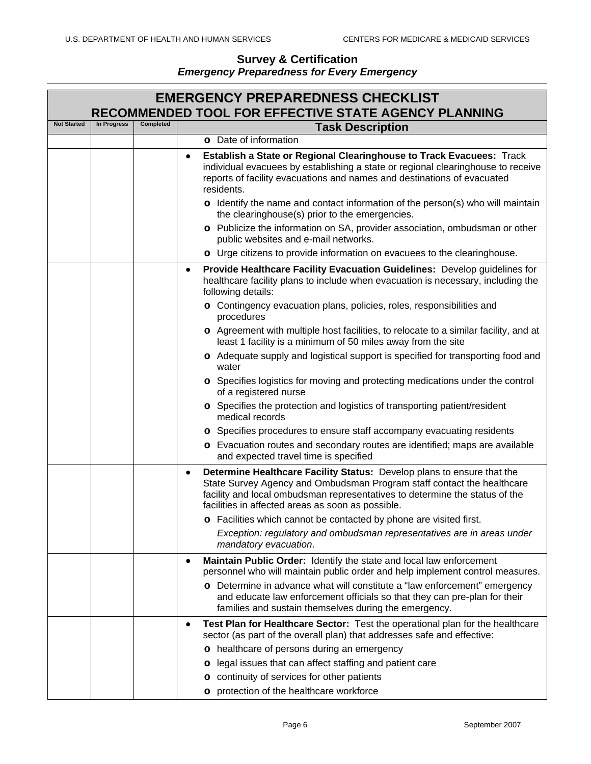|                    |             |           | <b>EMERGENCY PREPAREDNESS CHECKLIST</b><br>RECOMMENDED TOOL FOR EFFECTIVE STATE AGENCY PLANNING                                                                                                                                                                                           |
|--------------------|-------------|-----------|-------------------------------------------------------------------------------------------------------------------------------------------------------------------------------------------------------------------------------------------------------------------------------------------|
| <b>Not Started</b> | In Progress | Completed | <b>Task Description</b>                                                                                                                                                                                                                                                                   |
|                    |             |           | o Date of information                                                                                                                                                                                                                                                                     |
|                    |             |           | Establish a State or Regional Clearinghouse to Track Evacuees: Track<br>٠<br>individual evacuees by establishing a state or regional clearinghouse to receive<br>reports of facility evacuations and names and destinations of evacuated<br>residents.                                    |
|                    |             |           | o Identify the name and contact information of the person(s) who will maintain<br>the clearinghouse(s) prior to the emergencies.                                                                                                                                                          |
|                    |             |           | o Publicize the information on SA, provider association, ombudsman or other<br>public websites and e-mail networks.                                                                                                                                                                       |
|                    |             |           | o Urge citizens to provide information on evacuees to the clearinghouse.                                                                                                                                                                                                                  |
|                    |             |           | Provide Healthcare Facility Evacuation Guidelines: Develop guidelines for<br>٠<br>healthcare facility plans to include when evacuation is necessary, including the<br>following details:<br>o Contingency evacuation plans, policies, roles, responsibilities and                         |
|                    |             |           | procedures<br>o Agreement with multiple host facilities, to relocate to a similar facility, and at<br>least 1 facility is a minimum of 50 miles away from the site                                                                                                                        |
|                    |             |           | o Adequate supply and logistical support is specified for transporting food and<br>water                                                                                                                                                                                                  |
|                    |             |           | o Specifies logistics for moving and protecting medications under the control<br>of a registered nurse                                                                                                                                                                                    |
|                    |             |           | o Specifies the protection and logistics of transporting patient/resident<br>medical records                                                                                                                                                                                              |
|                    |             |           | o Specifies procedures to ensure staff accompany evacuating residents                                                                                                                                                                                                                     |
|                    |             |           | o Evacuation routes and secondary routes are identified; maps are available<br>and expected travel time is specified                                                                                                                                                                      |
|                    |             |           | Determine Healthcare Facility Status: Develop plans to ensure that the<br>٠<br>State Survey Agency and Ombudsman Program staff contact the healthcare<br>facility and local ombudsman representatives to determine the status of the<br>facilities in affected areas as soon as possible. |
|                    |             |           | o Facilities which cannot be contacted by phone are visited first.                                                                                                                                                                                                                        |
|                    |             |           | Exception: regulatory and ombudsman representatives are in areas under<br>mandatory evacuation.                                                                                                                                                                                           |
|                    |             |           | Maintain Public Order: Identify the state and local law enforcement<br>٠<br>personnel who will maintain public order and help implement control measures.                                                                                                                                 |
|                    |             |           | o Determine in advance what will constitute a "law enforcement" emergency<br>and educate law enforcement officials so that they can pre-plan for their<br>families and sustain themselves during the emergency.                                                                           |
|                    |             |           | Test Plan for Healthcare Sector: Test the operational plan for the healthcare<br>٠<br>sector (as part of the overall plan) that addresses safe and effective:                                                                                                                             |
|                    |             |           | o healthcare of persons during an emergency                                                                                                                                                                                                                                               |
|                    |             |           | o legal issues that can affect staffing and patient care                                                                                                                                                                                                                                  |
|                    |             |           | o continuity of services for other patients                                                                                                                                                                                                                                               |
|                    |             |           | o protection of the healthcare workforce                                                                                                                                                                                                                                                  |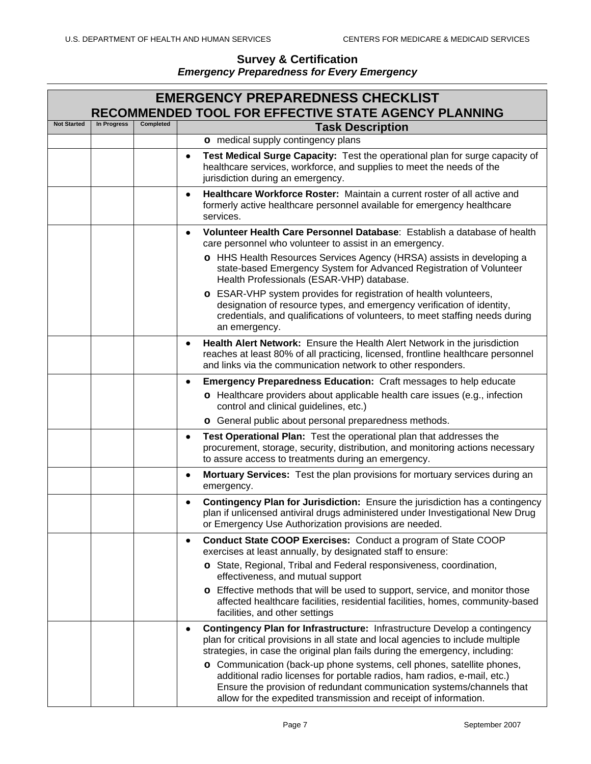|                    | <b>EMERGENCY PREPAREDNESS CHECKLIST</b><br>RECOMMENDED TOOL FOR EFFECTIVE STATE AGENCY PLANNING |                  |                                                                                                                                                                                                                                                                                                 |  |  |
|--------------------|-------------------------------------------------------------------------------------------------|------------------|-------------------------------------------------------------------------------------------------------------------------------------------------------------------------------------------------------------------------------------------------------------------------------------------------|--|--|
| <b>Not Started</b> | In Progress                                                                                     | <b>Completed</b> | <b>Task Description</b>                                                                                                                                                                                                                                                                         |  |  |
|                    |                                                                                                 |                  | o medical supply contingency plans                                                                                                                                                                                                                                                              |  |  |
|                    |                                                                                                 |                  | Test Medical Surge Capacity: Test the operational plan for surge capacity of<br>$\bullet$<br>healthcare services, workforce, and supplies to meet the needs of the<br>jurisdiction during an emergency.                                                                                         |  |  |
|                    |                                                                                                 |                  | Healthcare Workforce Roster: Maintain a current roster of all active and<br>$\bullet$<br>formerly active healthcare personnel available for emergency healthcare<br>services.                                                                                                                   |  |  |
|                    |                                                                                                 |                  | Volunteer Health Care Personnel Database: Establish a database of health<br>٠<br>care personnel who volunteer to assist in an emergency.                                                                                                                                                        |  |  |
|                    |                                                                                                 |                  | o HHS Health Resources Services Agency (HRSA) assists in developing a<br>state-based Emergency System for Advanced Registration of Volunteer<br>Health Professionals (ESAR-VHP) database.                                                                                                       |  |  |
|                    |                                                                                                 |                  | o ESAR-VHP system provides for registration of health volunteers,<br>designation of resource types, and emergency verification of identity,<br>credentials, and qualifications of volunteers, to meet staffing needs during<br>an emergency.                                                    |  |  |
|                    |                                                                                                 |                  | Health Alert Network: Ensure the Health Alert Network in the jurisdiction<br>$\bullet$<br>reaches at least 80% of all practicing, licensed, frontline healthcare personnel<br>and links via the communication network to other responders.                                                      |  |  |
|                    |                                                                                                 |                  | <b>Emergency Preparedness Education:</b> Craft messages to help educate<br>٠                                                                                                                                                                                                                    |  |  |
|                    |                                                                                                 |                  | o Healthcare providers about applicable health care issues (e.g., infection<br>control and clinical guidelines, etc.)                                                                                                                                                                           |  |  |
|                    |                                                                                                 |                  | o General public about personal preparedness methods.                                                                                                                                                                                                                                           |  |  |
|                    |                                                                                                 |                  | Test Operational Plan: Test the operational plan that addresses the<br>٠<br>procurement, storage, security, distribution, and monitoring actions necessary<br>to assure access to treatments during an emergency.                                                                               |  |  |
|                    |                                                                                                 |                  | Mortuary Services: Test the plan provisions for mortuary services during an<br>$\bullet$<br>emergency.                                                                                                                                                                                          |  |  |
|                    |                                                                                                 |                  | Contingency Plan for Jurisdiction: Ensure the jurisdiction has a contingency<br>$\bullet$<br>plan if unlicensed antiviral drugs administered under Investigational New Drug<br>or Emergency Use Authorization provisions are needed.                                                            |  |  |
|                    |                                                                                                 |                  | <b>Conduct State COOP Exercises: Conduct a program of State COOP</b><br>$\bullet$<br>exercises at least annually, by designated staff to ensure:                                                                                                                                                |  |  |
|                    |                                                                                                 |                  | o State, Regional, Tribal and Federal responsiveness, coordination,<br>effectiveness, and mutual support                                                                                                                                                                                        |  |  |
|                    |                                                                                                 |                  | o Effective methods that will be used to support, service, and monitor those<br>affected healthcare facilities, residential facilities, homes, community-based<br>facilities, and other settings                                                                                                |  |  |
|                    |                                                                                                 |                  | Contingency Plan for Infrastructure: Infrastructure Develop a contingency<br>plan for critical provisions in all state and local agencies to include multiple<br>strategies, in case the original plan fails during the emergency, including:                                                   |  |  |
|                    |                                                                                                 |                  | o Communication (back-up phone systems, cell phones, satellite phones,<br>additional radio licenses for portable radios, ham radios, e-mail, etc.)<br>Ensure the provision of redundant communication systems/channels that<br>allow for the expedited transmission and receipt of information. |  |  |